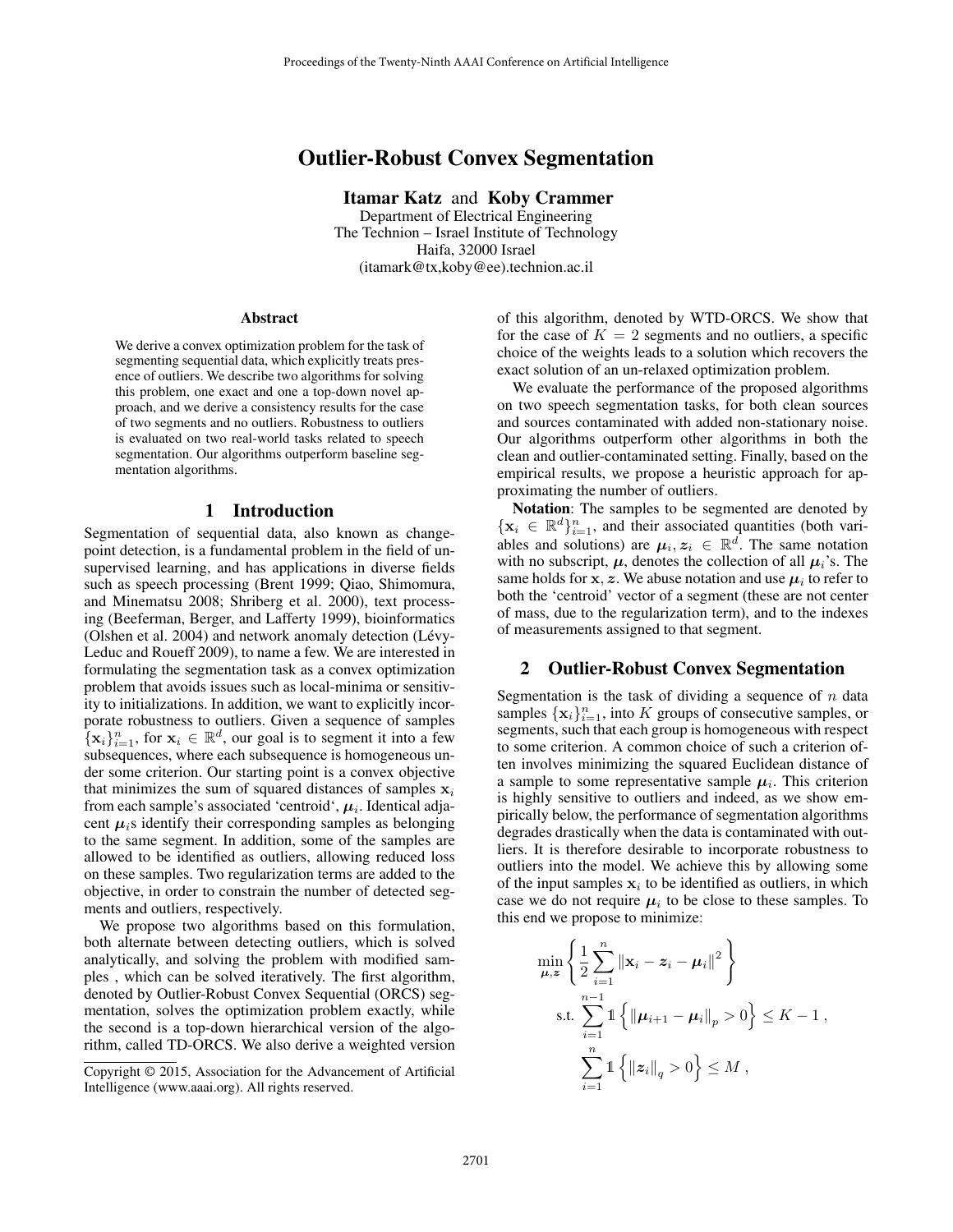# Outlier-Robust Convex Segmentation

Itamar Katz and Koby Crammer Department of Electrical Engineering The Technion – Israel Institute of Technology Haifa, 32000 Israel (itamark@tx,koby@ee).technion.ac.il

#### Abstract

We derive a convex optimization problem for the task of segmenting sequential data, which explicitly treats presence of outliers. We describe two algorithms for solving this problem, one exact and one a top-down novel approach, and we derive a consistency results for the case of two segments and no outliers. Robustness to outliers is evaluated on two real-world tasks related to speech segmentation. Our algorithms outperform baseline segmentation algorithms.

### 1 Introduction

Segmentation of sequential data, also known as changepoint detection, is a fundamental problem in the field of unsupervised learning, and has applications in diverse fields such as speech processing (Brent 1999; Qiao, Shimomura, and Minematsu 2008; Shriberg et al. 2000), text processing (Beeferman, Berger, and Lafferty 1999), bioinformatics (Olshen et al. 2004) and network anomaly detection (Lévy-Leduc and Roueff 2009), to name a few. We are interested in formulating the segmentation task as a convex optimization problem that avoids issues such as local-minima or sensitivity to initializations. In addition, we want to explicitly incorporate robustness to outliers. Given a sequence of samples  $\{\mathbf x_i\}_{i=1}^n$ , for  $\mathbf x_i \in \mathbb{R}^d$ , our goal is to segment it into a few subsequences, where each subsequence is homogeneous under some criterion. Our starting point is a convex objective that minimizes the sum of squared distances of samples  $x_i$ from each sample's associated 'centroid',  $\mu_i$ . Identical adjacent  $\mu_i$ s identify their corresponding samples as belonging to the same segment. In addition, some of the samples are allowed to be identified as outliers, allowing reduced loss on these samples. Two regularization terms are added to the objective, in order to constrain the number of detected segments and outliers, respectively.

We propose two algorithms based on this formulation, both alternate between detecting outliers, which is solved analytically, and solving the problem with modified samples , which can be solved iteratively. The first algorithm, denoted by Outlier-Robust Convex Sequential (ORCS) segmentation, solves the optimization problem exactly, while the second is a top-down hierarchical version of the algorithm, called TD-ORCS. We also derive a weighted version of this algorithm, denoted by WTD-ORCS. We show that for the case of  $K = 2$  segments and no outliers, a specific choice of the weights leads to a solution which recovers the exact solution of an un-relaxed optimization problem.

We evaluate the performance of the proposed algorithms on two speech segmentation tasks, for both clean sources and sources contaminated with added non-stationary noise. Our algorithms outperform other algorithms in both the clean and outlier-contaminated setting. Finally, based on the empirical results, we propose a heuristic approach for approximating the number of outliers.

Notation: The samples to be segmented are denoted by  $\{x_i \in \mathbb{R}^d\}_{i=1}^n$ , and their associated quantities (both variables and solutions) are  $\mu_i, z_i \in \mathbb{R}^d$ . The same notation with no subscript,  $\mu$ , denotes the collection of all  $\mu_i$ 's. The same holds for  $x, z$ . We abuse notation and use  $\mu_i$  to refer to both the 'centroid' vector of a segment (these are not center of mass, due to the regularization term), and to the indexes of measurements assigned to that segment.

### 2 Outlier-Robust Convex Segmentation

Segmentation is the task of dividing a sequence of  $n$  data samples  $\{x_i\}_{i=1}^n$ , into K groups of consecutive samples, or segments, such that each group is homogeneous with respect to some criterion. A common choice of such a criterion often involves minimizing the squared Euclidean distance of a sample to some representative sample  $\mu_i$ . This criterion is highly sensitive to outliers and indeed, as we show empirically below, the performance of segmentation algorithms degrades drastically when the data is contaminated with outliers. It is therefore desirable to incorporate robustness to outliers into the model. We achieve this by allowing some of the input samples  $x_i$  to be identified as outliers, in which case we do not require  $\mu_i$  to be close to these samples. To this end we propose to minimize:

$$
\min_{\mu,z} \left\{ \frac{1}{2} \sum_{i=1}^{n} \|\mathbf{x}_i - z_i - \mu_i\|^2 \right\}
$$
\ns.t. 
$$
\sum_{i=1}^{n-1} \mathbb{1} \left\{ \|\mu_{i+1} - \mu_i\|_p > 0 \right\} \le K - 1,
$$
\n
$$
\sum_{i=1}^{n} \mathbb{1} \left\{ \left\|z_i\right\|_q > 0 \right\} \le M,
$$

Copyright © 2015, Association for the Advancement of Artificial Intelligence (www.aaai.org). All rights reserved.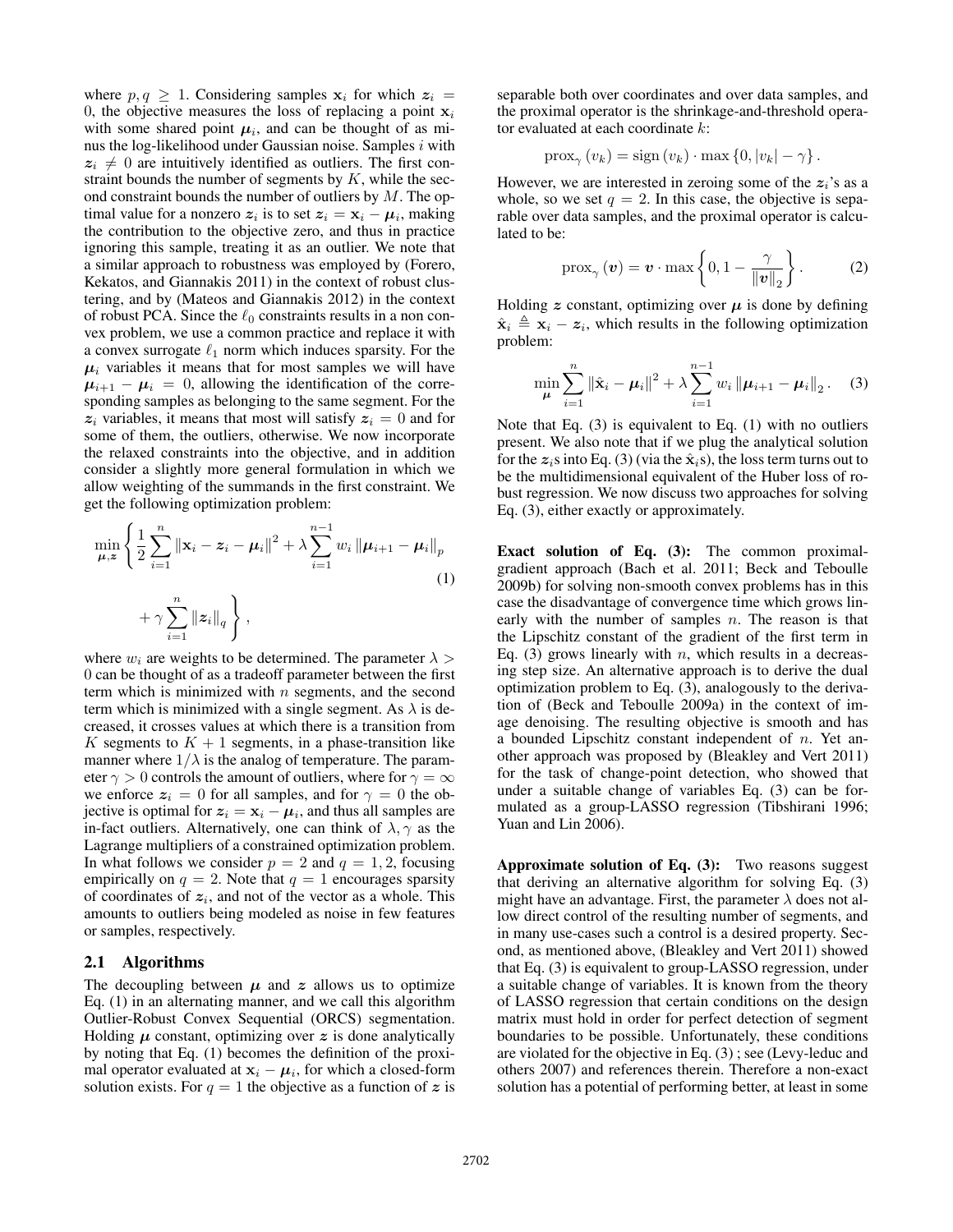where  $p, q \geq 1$ . Considering samples  $x_i$  for which  $z_i =$ 0, the objective measures the loss of replacing a point  $x_i$ with some shared point  $\mu_i$ , and can be thought of as minus the log-likelihood under Gaussian noise. Samples  $i$  with  $z_i \neq 0$  are intuitively identified as outliers. The first constraint bounds the number of segments by  $K$ , while the second constraint bounds the number of outliers by  $M$ . The optimal value for a nonzero  $z_i$  is to set  $z_i = \mathbf{x}_i - \boldsymbol{\mu}_i$ , making the contribution to the objective zero, and thus in practice ignoring this sample, treating it as an outlier. We note that a similar approach to robustness was employed by (Forero, Kekatos, and Giannakis 2011) in the context of robust clustering, and by (Mateos and Giannakis 2012) in the context of robust PCA. Since the  $\ell_0$  constraints results in a non convex problem, we use a common practice and replace it with a convex surrogate  $\ell_1$  norm which induces sparsity. For the  $\mu_i$  variables it means that for most samples we will have  $\mu_{i+1} - \mu_i = 0$ , allowing the identification of the corresponding samples as belonging to the same segment. For the  $z_i$  variables, it means that most will satisfy  $z_i = 0$  and for some of them, the outliers, otherwise. We now incorporate the relaxed constraints into the objective, and in addition consider a slightly more general formulation in which we allow weighting of the summands in the first constraint. We get the following optimization problem:

$$
\min_{\mu,z} \left\{ \frac{1}{2} \sum_{i=1}^{n} \left\| \mathbf{x}_i - \mathbf{z}_i - \mu_i \right\|^2 + \lambda \sum_{i=1}^{n-1} w_i \left\| \mu_{i+1} - \mu_i \right\|_p + \gamma \sum_{i=1}^{n} \left\| \mathbf{z}_i \right\|_q \right\},
$$
\n(1)

where  $w_i$  are weights to be determined. The parameter  $\lambda >$ 0 can be thought of as a tradeoff parameter between the first term which is minimized with  $n$  segments, and the second term which is minimized with a single segment. As  $\lambda$  is decreased, it crosses values at which there is a transition from K segments to  $K + 1$  segments, in a phase-transition like manner where  $1/\lambda$  is the analog of temperature. The parameter  $\gamma > 0$  controls the amount of outliers, where for  $\gamma = \infty$ we enforce  $z_i = 0$  for all samples, and for  $\gamma = 0$  the objective is optimal for  $z_i = x_i - \mu_i$ , and thus all samples are in-fact outliers. Alternatively, one can think of  $\lambda$ ,  $\gamma$  as the Lagrange multipliers of a constrained optimization problem. In what follows we consider  $p = 2$  and  $q = 1, 2$ , focusing empirically on  $q = 2$ . Note that  $q = 1$  encourages sparsity of coordinates of  $z_i$ , and not of the vector as a whole. This amounts to outliers being modeled as noise in few features or samples, respectively.

#### 2.1 Algorithms

The decoupling between  $\mu$  and  $z$  allows us to optimize Eq. (1) in an alternating manner, and we call this algorithm Outlier-Robust Convex Sequential (ORCS) segmentation. Holding  $\mu$  constant, optimizing over  $z$  is done analytically by noting that Eq. (1) becomes the definition of the proximal operator evaluated at  $x_i - \mu_i$ , for which a closed-form solution exists. For  $q = 1$  the objective as a function of z is separable both over coordinates and over data samples, and the proximal operator is the shrinkage-and-threshold operator evaluated at each coordinate  $k$ :

$$
\operatorname{prox}_{\gamma}(v_k) = \operatorname{sign}(v_k) \cdot \max\left\{0, |v_k| - \gamma\right\}.
$$

However, we are interested in zeroing some of the  $z_i$ 's as a whole, so we set  $q = 2$ . In this case, the objective is separable over data samples, and the proximal operator is calculated to be:

$$
\mathrm{prox}_{\gamma}(\boldsymbol{v}) = \boldsymbol{v} \cdot \max\left\{0, 1 - \frac{\gamma}{\|\boldsymbol{v}\|_2}\right\}.
$$
 (2)

Holding z constant, optimizing over  $\mu$  is done by defining  $\hat{\mathbf{x}}_i \triangleq \mathbf{x}_i - z_i$ , which results in the following optimization problem:

$$
\min_{\mu} \sum_{i=1}^{n} \|\hat{\mathbf{x}}_i - \boldsymbol{\mu}_i\|^2 + \lambda \sum_{i=1}^{n-1} w_i \|\boldsymbol{\mu}_{i+1} - \boldsymbol{\mu}_i\|_2. \quad (3)
$$

Note that Eq. (3) is equivalent to Eq. (1) with no outliers present. We also note that if we plug the analytical solution for the  $z_i$ s into Eq. (3) (via the  $\hat{\mathbf{x}}_i$ s), the loss term turns out to be the multidimensional equivalent of the Huber loss of robust regression. We now discuss two approaches for solving Eq. (3), either exactly or approximately.

Exact solution of Eq. (3): The common proximalgradient approach (Bach et al. 2011; Beck and Teboulle 2009b) for solving non-smooth convex problems has in this case the disadvantage of convergence time which grows linearly with the number of samples  $n$ . The reason is that the Lipschitz constant of the gradient of the first term in Eq. (3) grows linearly with  $n$ , which results in a decreasing step size. An alternative approach is to derive the dual optimization problem to Eq. (3), analogously to the derivation of (Beck and Teboulle 2009a) in the context of image denoising. The resulting objective is smooth and has a bounded Lipschitz constant independent of  $n$ . Yet another approach was proposed by (Bleakley and Vert 2011) for the task of change-point detection, who showed that under a suitable change of variables Eq. (3) can be formulated as a group-LASSO regression (Tibshirani 1996; Yuan and Lin 2006).

Approximate solution of Eq.  $(3)$ : Two reasons suggest that deriving an alternative algorithm for solving Eq. (3) might have an advantage. First, the parameter  $\lambda$  does not allow direct control of the resulting number of segments, and in many use-cases such a control is a desired property. Second, as mentioned above, (Bleakley and Vert 2011) showed that Eq. (3) is equivalent to group-LASSO regression, under a suitable change of variables. It is known from the theory of LASSO regression that certain conditions on the design matrix must hold in order for perfect detection of segment boundaries to be possible. Unfortunately, these conditions are violated for the objective in Eq. (3) ; see (Levy-leduc and others 2007) and references therein. Therefore a non-exact solution has a potential of performing better, at least in some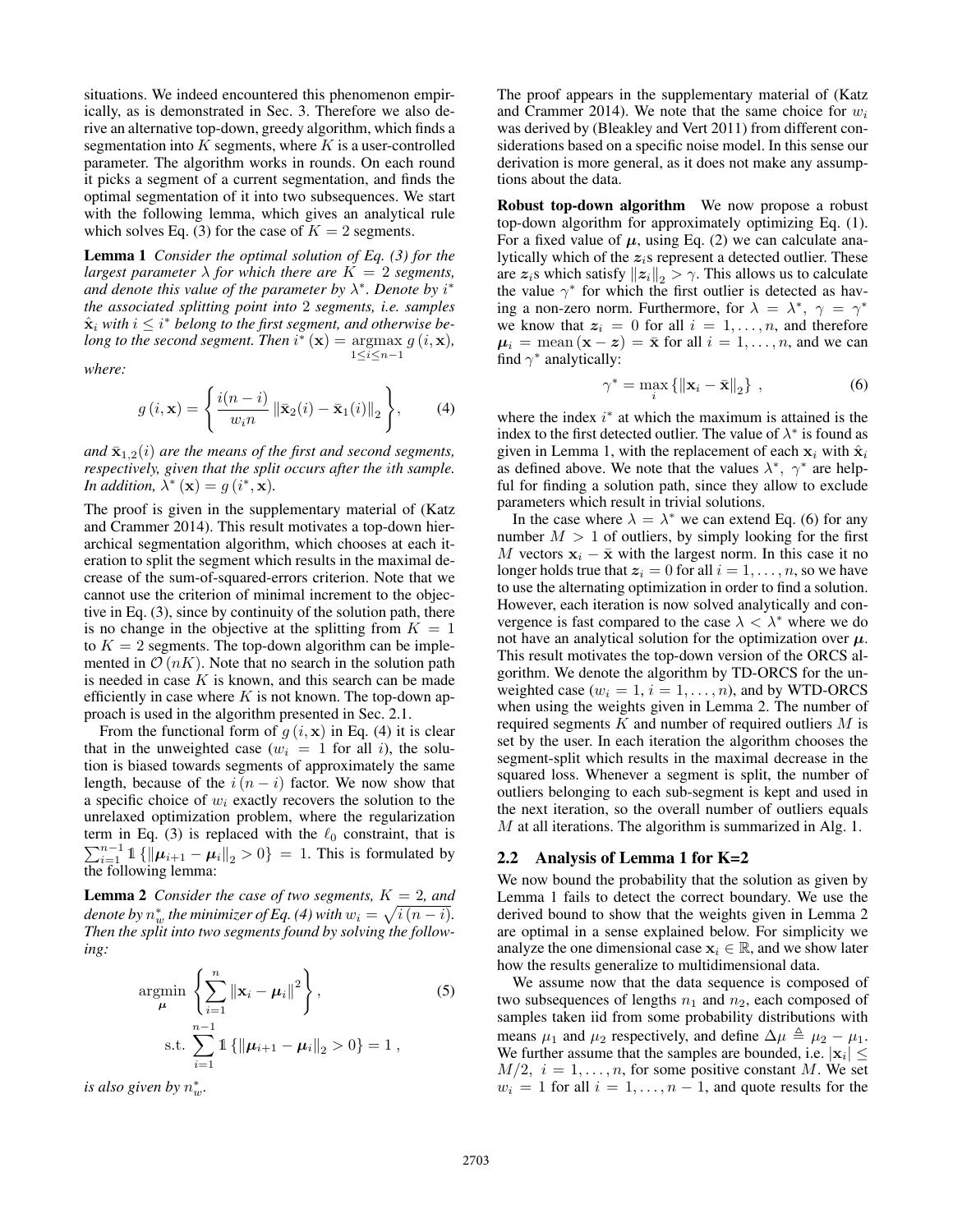situations. We indeed encountered this phenomenon empirically, as is demonstrated in Sec. 3. Therefore we also derive an alternative top-down, greedy algorithm, which finds a segmentation into  $K$  segments, where  $K$  is a user-controlled parameter. The algorithm works in rounds. On each round it picks a segment of a current segmentation, and finds the optimal segmentation of it into two subsequences. We start with the following lemma, which gives an analytical rule which solves Eq. (3) for the case of  $K = 2$  segments.

Lemma 1 *Consider the optimal solution of Eq. (3) for the largest parameter*  $\lambda$  *for which there are*  $K = 2$  *segments,* and denote this value of the parameter by  $\lambda^*$ . Denote by  $i^*$ *the associated splitting point into* 2 *segments, i.e. samples*  $\hat{\mathbf{x}}_i$  with  $i \leq i^*$  belong to the first segment, and otherwise be*long to the second segment. Then*  $i^*$  (**x**) = argmax  $g(i, \mathbf{x})$ ,  $1\leq i\leq n-1$ 

*where:*

$$
g(i, \mathbf{x}) = \left\{ \frac{i(n-i)}{w_i n} \left\| \bar{\mathbf{x}}_2(i) - \bar{\mathbf{x}}_1(i) \right\|_2 \right\},\qquad(4)
$$

*and*  $\bar{\mathbf{x}}_{1,2}(i)$  *are the means of the first and second segments, respectively, given that the split occurs after the* i*th sample. In addition,*  $\lambda^* (\mathbf{x}) = g(i^*, \mathbf{x})$ *.* 

The proof is given in the supplementary material of (Katz and Crammer 2014). This result motivates a top-down hierarchical segmentation algorithm, which chooses at each iteration to split the segment which results in the maximal decrease of the sum-of-squared-errors criterion. Note that we cannot use the criterion of minimal increment to the objective in Eq. (3), since by continuity of the solution path, there is no change in the objective at the splitting from  $K = 1$ to  $K = 2$  segments. The top-down algorithm can be implemented in  $\mathcal{O}(nK)$ . Note that no search in the solution path is needed in case  $K$  is known, and this search can be made efficiently in case where  $K$  is not known. The top-down approach is used in the algorithm presented in Sec. 2.1.

From the functional form of  $g(i, x)$  in Eq. (4) it is clear that in the unweighted case ( $w_i = 1$  for all i), the solution is biased towards segments of approximately the same length, because of the  $i(n - i)$  factor. We now show that a specific choice of  $w_i$  exactly recovers the solution to the unrelaxed optimization problem, where the regularization term in Eq. (3) is replaced with the  $\ell_0$  constraint, that is  $\sum_{i=1}^{n-1} 1 \{ ||\mu_{i+1} - \mu_i||_2 > 0 \} = 1$ . This is formulated by the following lemma:

**Lemma 2** *Consider the case of two segments,*  $K = 2$ *, and* denote by  $n_w^*$  the minimizer of Eq. (4) with  $w_i = \sqrt{i\,(n - i)}$ . *Then the split into two segments found by solving the following:*

$$
\underset{\boldsymbol{\mu}}{\text{argmin}} \left\{ \sum_{i=1}^{n} \|\mathbf{x}_{i} - \boldsymbol{\mu}_{i}\|^{2} \right\},
$$
\n
$$
\text{s.t.} \sum_{i=1}^{n-1} \mathbb{1} \left\{ \|\boldsymbol{\mu}_{i+1} - \boldsymbol{\mu}_{i}\|_{2} > 0 \right\} = 1 ,
$$
\n
$$
(5)
$$

*is also given by*  $n_w^*$ .

The proof appears in the supplementary material of (Katz and Crammer 2014). We note that the same choice for  $w_i$ was derived by (Bleakley and Vert 2011) from different considerations based on a specific noise model. In this sense our derivation is more general, as it does not make any assumptions about the data.

Robust top-down algorithm We now propose a robust top-down algorithm for approximately optimizing Eq. (1). For a fixed value of  $\mu$ , using Eq. (2) we can calculate analytically which of the  $z_i$ s represent a detected outlier. These are  $z_i$ s which satisfy  $||z_i||_2 > \gamma$ . This allows us to calculate the value  $\gamma^*$  for which the first outlier is detected as having a non-zero norm. Furthermore, for  $\lambda = \lambda^*, \gamma = \gamma^*$ we know that  $z_i = 0$  for all  $i = 1, \ldots, n$ , and therefore  $\mu_i = \text{mean}(\mathbf{x} - \mathbf{z}) = \bar{\mathbf{x}}$  for all  $i = 1, \dots, n$ , and we can find  $\gamma^*$  analytically:

$$
\gamma^* = \max_i \{ ||\mathbf{x}_i - \bar{\mathbf{x}}||_2 \}, \qquad (6)
$$

where the index  $i^*$  at which the maximum is attained is the index to the first detected outlier. The value of  $\lambda^*$  is found as given in Lemma 1, with the replacement of each  $x_i$  with  $\hat{x}_i$ as defined above. We note that the values  $\lambda^*$ ,  $\gamma^*$  are helpful for finding a solution path, since they allow to exclude parameters which result in trivial solutions.

In the case where  $\lambda = \lambda^*$  we can extend Eq. (6) for any number  $M > 1$  of outliers, by simply looking for the first M vectors  $x_i - \bar{x}$  with the largest norm. In this case it no longer holds true that  $z_i = 0$  for all  $i = 1, \ldots, n$ , so we have to use the alternating optimization in order to find a solution. However, each iteration is now solved analytically and convergence is fast compared to the case  $\lambda < \lambda^*$  where we do not have an analytical solution for the optimization over  $\mu$ . This result motivates the top-down version of the ORCS algorithm. We denote the algorithm by TD-ORCS for the unweighted case ( $w_i = 1$ ,  $i = 1, ..., n$ ), and by WTD-ORCS when using the weights given in Lemma 2. The number of required segments  $K$  and number of required outliers  $M$  is set by the user. In each iteration the algorithm chooses the segment-split which results in the maximal decrease in the squared loss. Whenever a segment is split, the number of outliers belonging to each sub-segment is kept and used in the next iteration, so the overall number of outliers equals M at all iterations. The algorithm is summarized in Alg. 1.

#### 2.2 Analysis of Lemma 1 for K=2

We now bound the probability that the solution as given by Lemma 1 fails to detect the correct boundary. We use the derived bound to show that the weights given in Lemma 2 are optimal in a sense explained below. For simplicity we analyze the one dimensional case  $x_i \in \mathbb{R}$ , and we show later how the results generalize to multidimensional data.

We assume now that the data sequence is composed of two subsequences of lengths  $n_1$  and  $n_2$ , each composed of samples taken iid from some probability distributions with means  $\mu_1$  and  $\mu_2$  respectively, and define  $\Delta \mu \triangleq \mu_2 - \mu_1$ . We further assume that the samples are bounded, i.e.  $|x_i| \leq$  $M/2$ ,  $i = 1, \ldots, n$ , for some positive constant M. We set  $w_i = 1$  for all  $i = 1, \ldots, n - 1$ , and quote results for the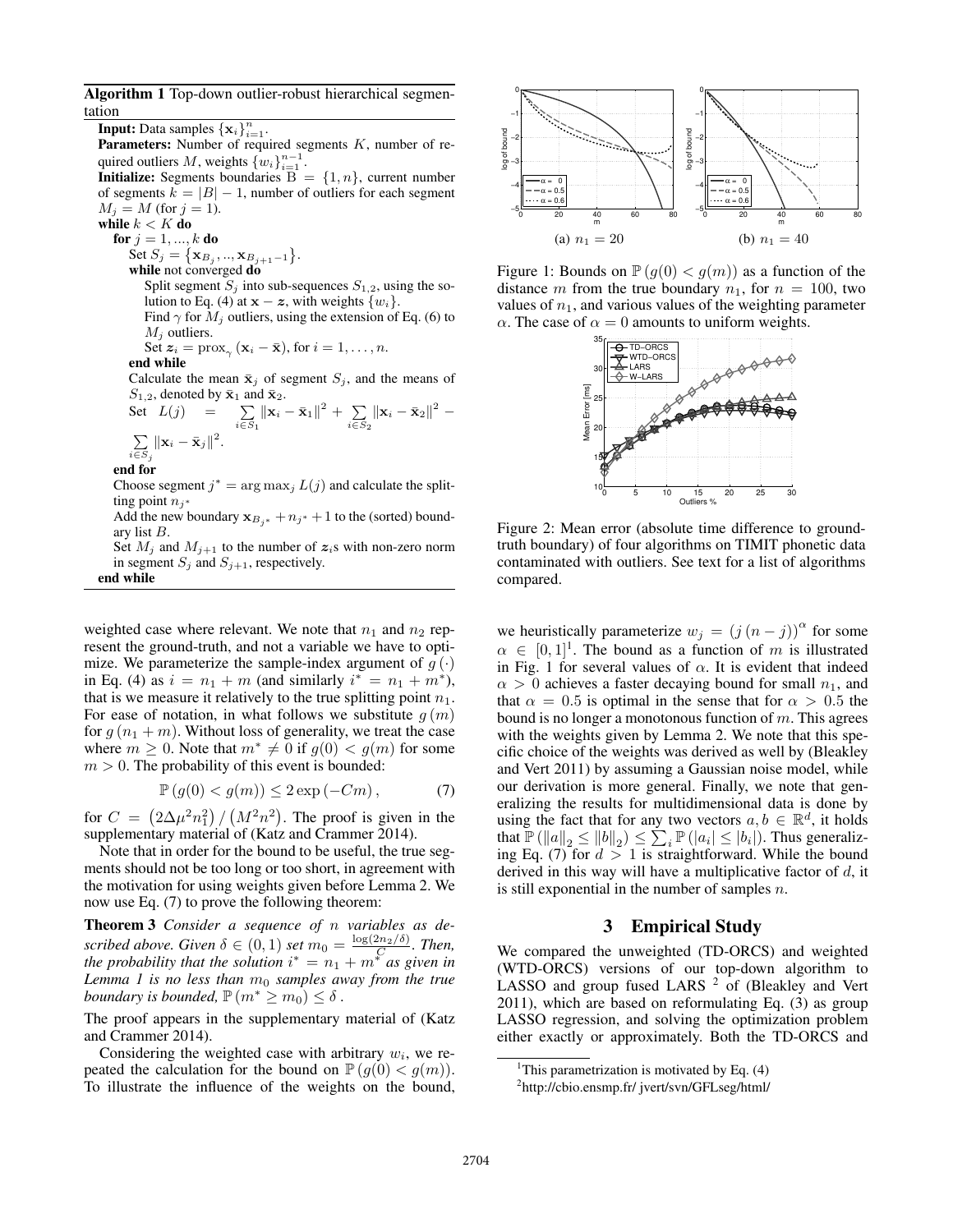Algorithm 1 Top-down outlier-robust hierarchical segmentation

**Input:** Data samples  $\{\mathbf x_i\}_{i=1}^n$ . **Parameters:** Number of required segments  $K$ , number of required outliers M, weights  $\{w_i\}_{i=1}^{n-1}$ . **Initialize:** Segments boundaries  $\overline{B} = \{1, n\}$ , current number

of segments  $k = |B| - 1$ , number of outliers for each segment  $M_i = M$  (for  $j = 1$ ).

while  $k < K$  do for  $j = 1, ..., k$  do

Set  $S_j = {\mathbf{x}_{B_j}, ..., \mathbf{x}_{B_{j+1}-1}}$ .

while not converged do

Split segment  $S_j$  into sub-sequences  $S_{1,2}$ , using the solution to Eq. (4) at  $\mathbf{x} - \mathbf{z}$ , with weights  $\{w_i\}$ . Find  $\gamma$  for  $M_j$  outliers, using the extension of Eq. (6) to

 $M_i$  outliers.

Set 
$$
z_i = \text{prox}_{\gamma} (\mathbf{x}_i - \bar{\mathbf{x}})
$$
, for  $i = 1, ..., n$ .

end while

Calculate the mean  $\bar{\mathbf{x}}_j$  of segment  $S_j$ , and the means of  $S_{1,2}$ , denoted by  $\bar{\mathbf{x}}_1$  and  $\bar{\mathbf{x}}_2$ .

Set 
$$
L(j) = \sum_{i \in S_1} ||\mathbf{x}_i - \bar{\mathbf{x}}_1||^2 + \sum_{i \in S_2} ||\mathbf{x}_i - \bar{\mathbf{x}}_2||^2 - \sum_{i \in S_3} ||\mathbf{x}_i - \bar{\mathbf{x}}_j||^2
$$
.

end for

Choose segment  $j^* = \arg \max_j L(j)$  and calculate the splitting point  $n_i$ ∗

Add the new boundary  $x_{B_{i}*} + n_{j*} + 1$  to the (sorted) boundary list B.

Set  $M_j$  and  $M_{j+1}$  to the number of  $z_i$ s with non-zero norm in segment  $S_j$  and  $S_{j+1}$ , respectively.

end while

weighted case where relevant. We note that  $n_1$  and  $n_2$  represent the ground-truth, and not a variable we have to optimize. We parameterize the sample-index argument of  $g(\cdot)$ in Eq. (4) as  $i = n_1 + m$  (and similarly  $i^* = n_1 + m^*$ ), that is we measure it relatively to the true splitting point  $n_1$ . For ease of notation, in what follows we substitute  $q(m)$ for  $g(n_1 + m)$ . Without loss of generality, we treat the case where  $m \geq 0$ . Note that  $m^* \neq 0$  if  $g(0) < g(m)$  for some  $m > 0$ . The probability of this event is bounded:

$$
\mathbb{P}\left(g(0) < g(m)\right) \leq 2\exp\left(-Cm\right),\tag{7}
$$

for  $C = (2\Delta\mu^2 n_1^2) / (M^2 n^2)$ . The proof is given in the supplementary material of (Katz and Crammer 2014).

Note that in order for the bound to be useful, the true segments should not be too long or too short, in agreement with the motivation for using weights given before Lemma 2. We now use Eq. (7) to prove the following theorem:

Theorem 3 *Consider a sequence of* n *variables as described above. Given*  $\delta \in (0,1)$  *set*  $m_0 = \frac{\log(2n_2/\delta)}{C}$ *. Then, the probability that the solution*  $i^* = n_1 + m^*$  *as given in Lemma 1 is no less than*  $m_0$  *samples away from the true boundary is bounded,*  $\mathbb{P}(m^* \ge m_0) \le \delta$ .

The proof appears in the supplementary material of (Katz and Crammer 2014).

Considering the weighted case with arbitrary  $w_i$ , we repeated the calculation for the bound on  $\mathbb{P}(g(0) < g(m))$ . To illustrate the influence of the weights on the bound,



Figure 1: Bounds on  $\mathbb{P}(g(0) < g(m))$  as a function of the distance m from the true boundary  $n_1$ , for  $n = 100$ , two values of  $n_1$ , and various values of the weighting parameter  $\alpha$ . The case of  $\alpha = 0$  amounts to uniform weights.



Figure 2: Mean error (absolute time difference to groundtruth boundary) of four algorithms on TIMIT phonetic data contaminated with outliers. See text for a list of algorithms compared.

we heuristically parameterize  $w_j = (j (n - j))^{\alpha}$  for some  $\alpha \in [0,1]^1$ . The bound as a function of m is illustrated in Fig. 1 for several values of  $\alpha$ . It is evident that indeed  $\alpha > 0$  achieves a faster decaying bound for small  $n_1$ , and that  $\alpha = 0.5$  is optimal in the sense that for  $\alpha > 0.5$  the bound is no longer a monotonous function of  $m$ . This agrees with the weights given by Lemma 2. We note that this specific choice of the weights was derived as well by (Bleakley and Vert 2011) by assuming a Gaussian noise model, while our derivation is more general. Finally, we note that generalizing the results for multidimensional data is done by using the fact that for any two vectors  $a, b \in \mathbb{R}^d$ , it holds that  $\mathbb{P}(\|a\|_2 \le \|b\|_2) \le \sum_i \mathbb{P}(|a_i| \le |b_i|)$ . Thus generalizing Eq. (7) for  $d > 1$  is straightforward. While the bound derived in this way will have a multiplicative factor of  $d$ , it is still exponential in the number of samples  $n$ .

### 3 Empirical Study

We compared the unweighted (TD-ORCS) and weighted (WTD-ORCS) versions of our top-down algorithm to LASSO and group fused LARS  $2^{\circ}$  of (Bleakley and Vert 2011), which are based on reformulating Eq. (3) as group LASSO regression, and solving the optimization problem either exactly or approximately. Both the TD-ORCS and

<sup>&</sup>lt;sup>1</sup>This parametrization is motivated by Eq.  $(4)$ 

<sup>2</sup> http://cbio.ensmp.fr/ jvert/svn/GFLseg/html/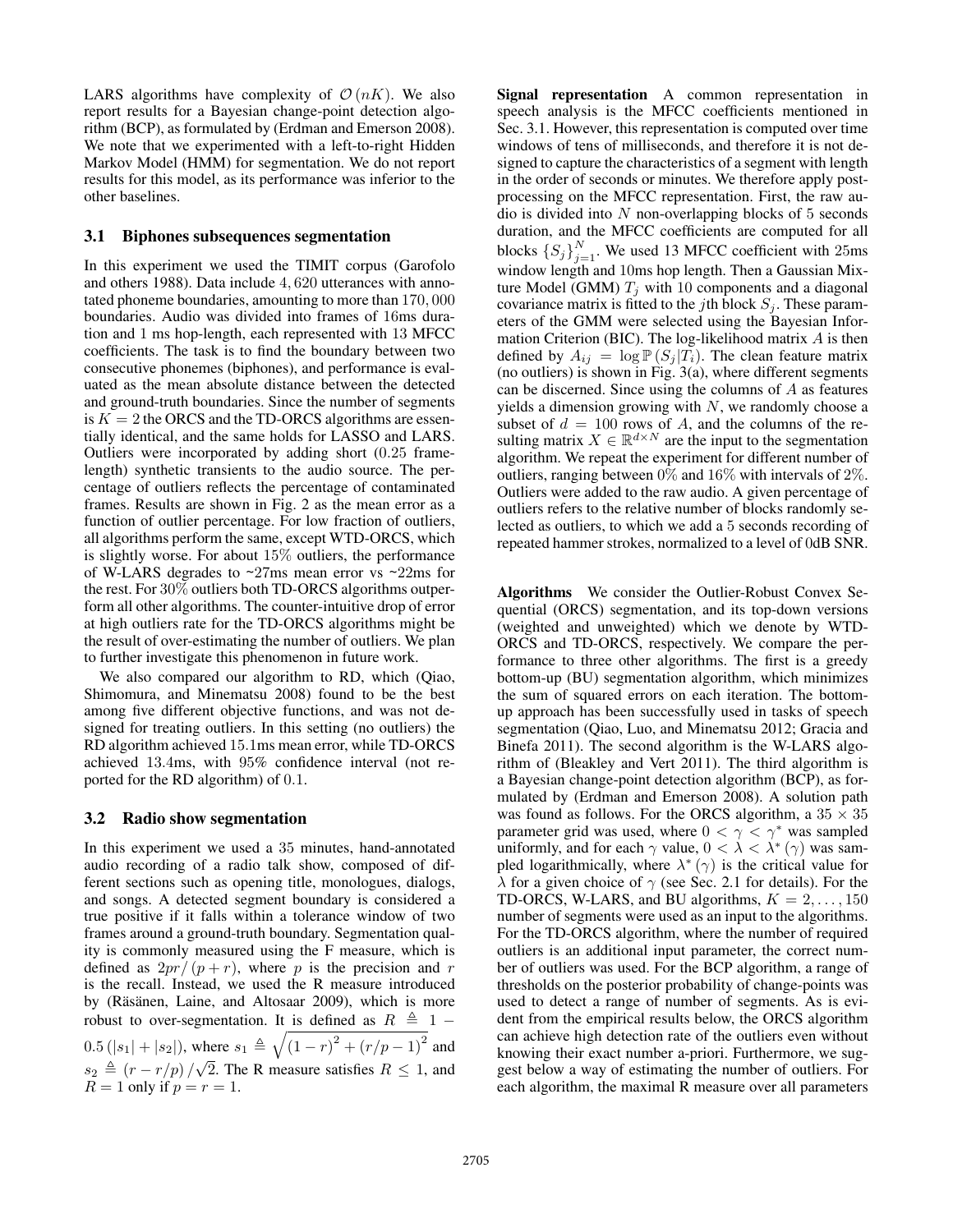LARS algorithms have complexity of  $\mathcal{O}(nK)$ . We also report results for a Bayesian change-point detection algorithm (BCP), as formulated by (Erdman and Emerson 2008). We note that we experimented with a left-to-right Hidden Markov Model (HMM) for segmentation. We do not report results for this model, as its performance was inferior to the other baselines.

# 3.1 Biphones subsequences segmentation

In this experiment we used the TIMIT corpus (Garofolo and others 1988). Data include 4, 620 utterances with annotated phoneme boundaries, amounting to more than 170, 000 boundaries. Audio was divided into frames of 16ms duration and 1 ms hop-length, each represented with 13 MFCC coefficients. The task is to find the boundary between two consecutive phonemes (biphones), and performance is evaluated as the mean absolute distance between the detected and ground-truth boundaries. Since the number of segments is  $K = 2$  the ORCS and the TD-ORCS algorithms are essentially identical, and the same holds for LASSO and LARS. Outliers were incorporated by adding short (0.25 framelength) synthetic transients to the audio source. The percentage of outliers reflects the percentage of contaminated frames. Results are shown in Fig. 2 as the mean error as a function of outlier percentage. For low fraction of outliers, all algorithms perform the same, except WTD-ORCS, which is slightly worse. For about 15% outliers, the performance of W-LARS degrades to ~27ms mean error vs ~22ms for the rest. For 30% outliers both TD-ORCS algorithms outperform all other algorithms. The counter-intuitive drop of error at high outliers rate for the TD-ORCS algorithms might be the result of over-estimating the number of outliers. We plan to further investigate this phenomenon in future work.

We also compared our algorithm to RD, which (Qiao, Shimomura, and Minematsu 2008) found to be the best among five different objective functions, and was not designed for treating outliers. In this setting (no outliers) the RD algorithm achieved 15.1ms mean error, while TD-ORCS achieved 13.4ms, with 95% confidence interval (not reported for the RD algorithm) of 0.1.

# 3.2 Radio show segmentation

In this experiment we used a 35 minutes, hand-annotated audio recording of a radio talk show, composed of different sections such as opening title, monologues, dialogs, and songs. A detected segment boundary is considered a true positive if it falls within a tolerance window of two frames around a ground-truth boundary. Segmentation quality is commonly measured using the F measure, which is defined as  $2pr/(p+r)$ , where p is the precision and r is the recall. Instead, we used the R measure introduced by (Räsänen, Laine, and Altosaar 2009), which is more robust to over-segmentation. It is defined as  $R \triangleq 1 -$ 0.5 (|s<sub>1</sub>| + |s<sub>2</sub>|), where  $s_1 \triangleq \sqrt{(1 - r)^2 + (r/p - 1)^2}$  and  $s_2 \triangleq (r - r/p) / \sqrt{2}$ . The R measure satisfies  $R \leq 1$ , and  $R = 1$  only if  $p = r = 1$ .

Signal representation A common representation in speech analysis is the MFCC coefficients mentioned in Sec. 3.1. However, this representation is computed over time windows of tens of milliseconds, and therefore it is not designed to capture the characteristics of a segment with length in the order of seconds or minutes. We therefore apply postprocessing on the MFCC representation. First, the raw audio is divided into  $N$  non-overlapping blocks of 5 seconds duration, and the MFCC coefficients are computed for all blocks  $\{S_j\}_{j=1}^N$ . We used 13 MFCC coefficient with 25ms window length and 10ms hop length. Then a Gaussian Mixture Model (GMM)  $T_j$  with 10 components and a diagonal covariance matrix is fitted to the jth block  $S_i$ . These parameters of the GMM were selected using the Bayesian Information Criterion (BIC). The log-likelihood matrix  $A$  is then defined by  $A_{ij} = \log P(S_j | T_i)$ . The clean feature matrix (no outliers) is shown in Fig.  $3(a)$ , where different segments can be discerned. Since using the columns of A as features yields a dimension growing with  $N$ , we randomly choose a subset of  $d = 100$  rows of A, and the columns of the resulting matrix  $X \in \mathbb{R}^{d \times N}$  are the input to the segmentation algorithm. We repeat the experiment for different number of outliers, ranging between  $0\%$  and  $16\%$  with intervals of  $2\%$ . Outliers were added to the raw audio. A given percentage of outliers refers to the relative number of blocks randomly selected as outliers, to which we add a 5 seconds recording of repeated hammer strokes, normalized to a level of 0dB SNR.

Algorithms We consider the Outlier-Robust Convex Sequential (ORCS) segmentation, and its top-down versions (weighted and unweighted) which we denote by WTD-ORCS and TD-ORCS, respectively. We compare the performance to three other algorithms. The first is a greedy bottom-up (BU) segmentation algorithm, which minimizes the sum of squared errors on each iteration. The bottomup approach has been successfully used in tasks of speech segmentation (Qiao, Luo, and Minematsu 2012; Gracia and Binefa 2011). The second algorithm is the W-LARS algorithm of (Bleakley and Vert 2011). The third algorithm is a Bayesian change-point detection algorithm (BCP), as formulated by (Erdman and Emerson 2008). A solution path was found as follows. For the ORCS algorithm, a  $35 \times 35$ parameter grid was used, where  $0 < \gamma < \gamma^*$  was sampled uniformly, and for each  $\gamma$  value,  $0 < \lambda < \lambda^*$  ( $\gamma$ ) was sampled logarithmically, where  $\lambda^*(\gamma)$  is the critical value for  $\lambda$  for a given choice of  $\gamma$  (see Sec. 2.1 for details). For the TD-ORCS, W-LARS, and BU algorithms,  $K = 2, \ldots, 150$ number of segments were used as an input to the algorithms. For the TD-ORCS algorithm, where the number of required outliers is an additional input parameter, the correct number of outliers was used. For the BCP algorithm, a range of thresholds on the posterior probability of change-points was used to detect a range of number of segments. As is evident from the empirical results below, the ORCS algorithm can achieve high detection rate of the outliers even without knowing their exact number a-priori. Furthermore, we suggest below a way of estimating the number of outliers. For each algorithm, the maximal R measure over all parameters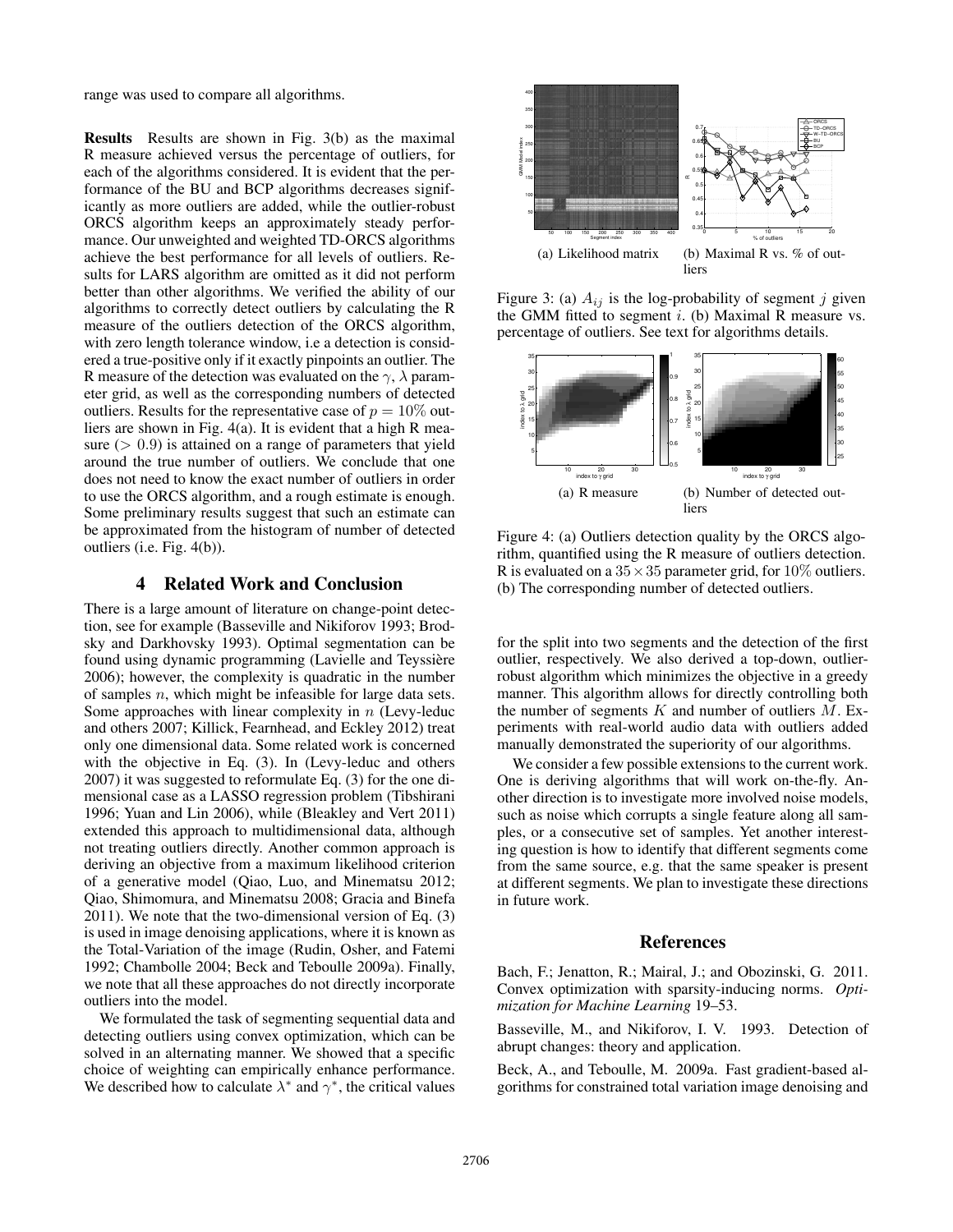range was used to compare all algorithms.

Results Results are shown in Fig. 3(b) as the maximal R measure achieved versus the percentage of outliers, for each of the algorithms considered. It is evident that the performance of the BU and BCP algorithms decreases significantly as more outliers are added, while the outlier-robust ORCS algorithm keeps an approximately steady performance. Our unweighted and weighted TD-ORCS algorithms achieve the best performance for all levels of outliers. Results for LARS algorithm are omitted as it did not perform better than other algorithms. We verified the ability of our algorithms to correctly detect outliers by calculating the R measure of the outliers detection of the ORCS algorithm, with zero length tolerance window, i.e a detection is considered a true-positive only if it exactly pinpoints an outlier. The R measure of the detection was evaluated on the  $\gamma$ ,  $\lambda$  parameter grid, as well as the corresponding numbers of detected outliers. Results for the representative case of  $p = 10\%$  outliers are shown in Fig. 4(a). It is evident that a high R measure  $(> 0.9)$  is attained on a range of parameters that yield around the true number of outliers. We conclude that one does not need to know the exact number of outliers in order to use the ORCS algorithm, and a rough estimate is enough. Some preliminary results suggest that such an estimate can be approximated from the histogram of number of detected outliers (i.e. Fig. 4(b)).

# 4 Related Work and Conclusion

There is a large amount of literature on change-point detection, see for example (Basseville and Nikiforov 1993; Brodsky and Darkhovsky 1993). Optimal segmentation can be found using dynamic programming (Lavielle and Teyssière 2006); however, the complexity is quadratic in the number of samples  $n$ , which might be infeasible for large data sets. Some approaches with linear complexity in  $n$  (Levy-leduc and others 2007; Killick, Fearnhead, and Eckley 2012) treat only one dimensional data. Some related work is concerned with the objective in Eq. (3). In (Levy-leduc and others 2007) it was suggested to reformulate Eq. (3) for the one dimensional case as a LASSO regression problem (Tibshirani 1996; Yuan and Lin 2006), while (Bleakley and Vert 2011) extended this approach to multidimensional data, although not treating outliers directly. Another common approach is deriving an objective from a maximum likelihood criterion of a generative model (Qiao, Luo, and Minematsu 2012; Qiao, Shimomura, and Minematsu 2008; Gracia and Binefa 2011). We note that the two-dimensional version of Eq. (3) is used in image denoising applications, where it is known as the Total-Variation of the image (Rudin, Osher, and Fatemi 1992; Chambolle 2004; Beck and Teboulle 2009a). Finally, we note that all these approaches do not directly incorporate outliers into the model.

We formulated the task of segmenting sequential data and detecting outliers using convex optimization, which can be solved in an alternating manner. We showed that a specific choice of weighting can empirically enhance performance. We described how to calculate  $\lambda^*$  and  $\gamma^*$ , the critical values



Figure 3: (a)  $A_{ij}$  is the log-probability of segment j given the GMM fitted to segment  $i$ . (b) Maximal R measure vs. percentage of outliers. See text for algorithms details.



Figure 4: (a) Outliers detection quality by the ORCS algorithm, quantified using the R measure of outliers detection. R is evaluated on a  $35 \times 35$  parameter grid, for  $10\%$  outliers. (b) The corresponding number of detected outliers.

for the split into two segments and the detection of the first outlier, respectively. We also derived a top-down, outlierrobust algorithm which minimizes the objective in a greedy manner. This algorithm allows for directly controlling both the number of segments  $K$  and number of outliers  $M$ . Experiments with real-world audio data with outliers added manually demonstrated the superiority of our algorithms.

We consider a few possible extensions to the current work. One is deriving algorithms that will work on-the-fly. Another direction is to investigate more involved noise models, such as noise which corrupts a single feature along all samples, or a consecutive set of samples. Yet another interesting question is how to identify that different segments come from the same source, e.g. that the same speaker is present at different segments. We plan to investigate these directions in future work.

### References

Bach, F.; Jenatton, R.; Mairal, J.; and Obozinski, G. 2011. Convex optimization with sparsity-inducing norms. *Optimization for Machine Learning* 19–53.

Basseville, M., and Nikiforov, I. V. 1993. Detection of abrupt changes: theory and application.

Beck, A., and Teboulle, M. 2009a. Fast gradient-based algorithms for constrained total variation image denoising and